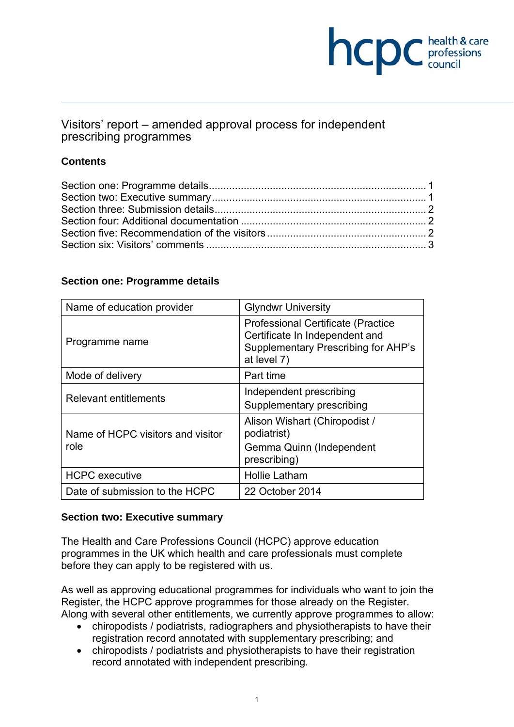# **health & care**

## Visitors' report – amended approval process for independent prescribing programmes

## **Contents**

### **Section one: Programme details**

| Name of education provider                | <b>Glyndwr University</b>                                                                                                          |
|-------------------------------------------|------------------------------------------------------------------------------------------------------------------------------------|
| Programme name                            | <b>Professional Certificate (Practice)</b><br>Certificate In Independent and<br>Supplementary Prescribing for AHP's<br>at level 7) |
| Mode of delivery                          | Part time                                                                                                                          |
| Relevant entitlements                     | Independent prescribing<br>Supplementary prescribing                                                                               |
| Name of HCPC visitors and visitor<br>role | Alison Wishart (Chiropodist /<br>podiatrist)<br>Gemma Quinn (Independent<br>prescribing)                                           |
| <b>HCPC</b> executive                     | <b>Hollie Latham</b>                                                                                                               |
| Date of submission to the HCPC            | 22 October 2014                                                                                                                    |

### **Section two: Executive summary**

The Health and Care Professions Council (HCPC) approve education programmes in the UK which health and care professionals must complete before they can apply to be registered with us.

As well as approving educational programmes for individuals who want to join the Register, the HCPC approve programmes for those already on the Register. Along with several other entitlements, we currently approve programmes to allow:

- chiropodists / podiatrists, radiographers and physiotherapists to have their registration record annotated with supplementary prescribing; and
- chiropodists / podiatrists and physiotherapists to have their registration record annotated with independent prescribing.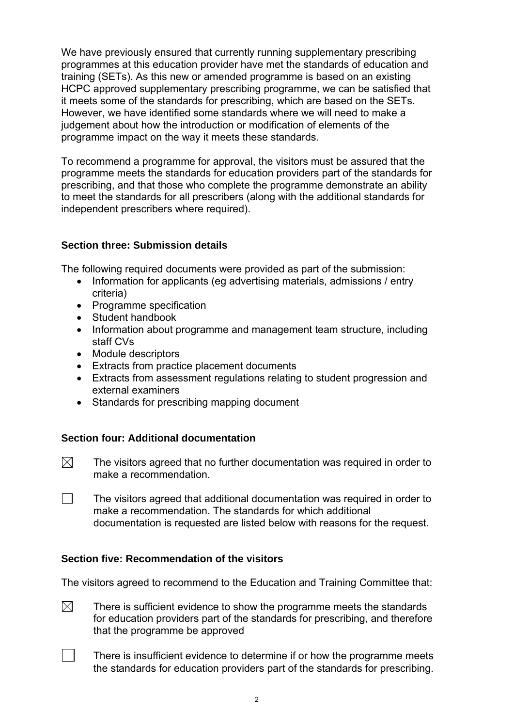We have previously ensured that currently running supplementary prescribing programmes at this education provider have met the standards of education and training (SETs). As this new or amended programme is based on an existing HCPC approved supplementary prescribing programme, we can be satisfied that it meets some of the standards for prescribing, which are based on the SETs. However, we have identified some standards where we will need to make a judgement about how the introduction or modification of elements of the programme impact on the way it meets these standards.

To recommend a programme for approval, the visitors must be assured that the programme meets the standards for education providers part of the standards for prescribing, and that those who complete the programme demonstrate an ability to meet the standards for all prescribers (along with the additional standards for independent prescribers where required).

### **Section three: Submission details**

The following required documents were provided as part of the submission:

- Information for applicants (eq advertising materials, admissions / entry criteria)
- Programme specification
- Student handbook
- Information about programme and management team structure, including staff CVs
- Module descriptors
- Extracts from practice placement documents
- Extracts from assessment regulations relating to student progression and external examiners
- Standards for prescribing mapping document

#### **Section four: Additional documentation**

- $\boxtimes$  The visitors agreed that no further documentation was required in order to make a recommendation.
- $\Box$  The visitors agreed that additional documentation was required in order to make a recommendation. The standards for which additional documentation is requested are listed below with reasons for the request.

#### **Section five: Recommendation of the visitors**

The visitors agreed to recommend to the Education and Training Committee that:

- $\boxtimes$  There is sufficient evidence to show the programme meets the standards for education providers part of the standards for prescribing, and therefore that the programme be approved
	- There is insufficient evidence to determine if or how the programme meets the standards for education providers part of the standards for prescribing.